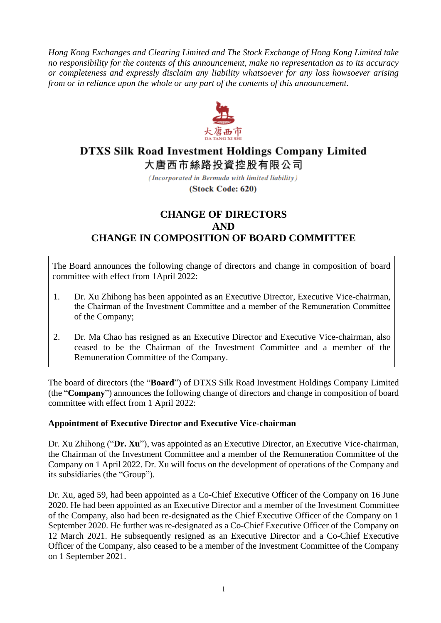*Hong Kong Exchanges and Clearing Limited and The Stock Exchange of Hong Kong Limited take no responsibility for the contents of this announcement, make no representation as to its accuracy or completeness and expressly disclaim any liability whatsoever for any loss howsoever arising from or in reliance upon the whole or any part of the contents of this announcement.*



# **DTXS Silk Road Investment Holdings Company Limited** 大唐西市絲路投資控股有限公司

(Incorporated in Bermuda with limited liability)

(Stock Code: 620)

## **CHANGE OF DIRECTORS AND CHANGE IN COMPOSITION OF BOARD COMMITTEE**

The Board announces the following change of directors and change in composition of board committee with effect from 1April 2022:

- 1. Dr. Xu Zhihong has been appointed as an Executive Director, Executive Vice-chairman, the Chairman of the Investment Committee and a member of the Remuneration Committee of the Company;
- 2. Dr. Ma Chao has resigned as an Executive Director and Executive Vice-chairman, also ceased to be the Chairman of the Investment Committee and a member of the Remuneration Committee of the Company.

The board of directors (the "**Board**") of DTXS Silk Road Investment Holdings Company Limited (the "**Company**") announces the following change of directors and change in composition of board committee with effect from 1 April 2022:

#### **Appointment of Executive Director and Executive Vice-chairman**

Dr. Xu Zhihong ("**Dr. Xu**"), was appointed as an Executive Director, an Executive Vice-chairman, the Chairman of the Investment Committee and a member of the Remuneration Committee of the Company on 1 April 2022. Dr. Xu will focus on the development of operations of the Company and its subsidiaries (the "Group").

Dr. Xu, aged 59, had been appointed as a Co-Chief Executive Officer of the Company on 16 June 2020. He had been appointed as an Executive Director and a member of the Investment Committee of the Company, also had been re-designated as the Chief Executive Officer of the Company on 1 September 2020. He further was re-designated as a Co-Chief Executive Officer of the Company on 12 March 2021. He subsequently resigned as an Executive Director and a Co-Chief Executive Officer of the Company, also ceased to be a member of the Investment Committee of the Company on 1 September 2021.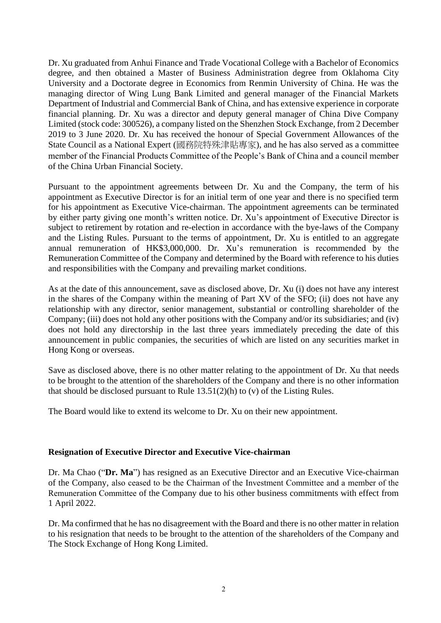Dr. Xu graduated from Anhui Finance and Trade Vocational College with a Bachelor of Economics degree, and then obtained a Master of Business Administration degree from Oklahoma City University and a Doctorate degree in Economics from Renmin University of China. He was the managing director of Wing Lung Bank Limited and general manager of the Financial Markets Department of Industrial and Commercial Bank of China, and has extensive experience in corporate financial planning. Dr. Xu was a director and deputy general manager of China Dive Company Limited (stock code: 300526), a company listed on the Shenzhen Stock Exchange, from 2 December 2019 to 3 June 2020. Dr. Xu has received the honour of Special Government Allowances of the State Council as a National Expert (國務院特殊津貼專家), and he has also served as a committee member of the Financial Products Committee of the People's Bank of China and a council member of the China Urban Financial Society.

Pursuant to the appointment agreements between Dr. Xu and the Company, the term of his appointment as Executive Director is for an initial term of one year and there is no specified term for his appointment as Executive Vice-chairman. The appointment agreements can be terminated by either party giving one month's written notice. Dr. Xu's appointment of Executive Director is subject to retirement by rotation and re-election in accordance with the bye-laws of the Company and the Listing Rules. Pursuant to the terms of appointment, Dr. Xu is entitled to an aggregate annual remuneration of HK\$3,000,000. Dr. Xu's remuneration is recommended by the Remuneration Committee of the Company and determined by the Board with reference to his duties and responsibilities with the Company and prevailing market conditions.

As at the date of this announcement, save as disclosed above, Dr. Xu (i) does not have any interest in the shares of the Company within the meaning of Part XV of the SFO; (ii) does not have any relationship with any director, senior management, substantial or controlling shareholder of the Company; (iii) does not hold any other positions with the Company and/or its subsidiaries; and (iv) does not hold any directorship in the last three years immediately preceding the date of this announcement in public companies, the securities of which are listed on any securities market in Hong Kong or overseas.

Save as disclosed above, there is no other matter relating to the appointment of Dr. Xu that needs to be brought to the attention of the shareholders of the Company and there is no other information that should be disclosed pursuant to Rule  $13.51(2)(h)$  to (v) of the Listing Rules.

The Board would like to extend its welcome to Dr. Xu on their new appointment.

#### **Resignation of Executive Director and Executive Vice-chairman**

Dr. Ma Chao ("**Dr. Ma**") has resigned as an Executive Director and an Executive Vice-chairman of the Company, also ceased to be the Chairman of the Investment Committee and a member of the Remuneration Committee of the Company due to his other business commitments with effect from 1 April 2022.

Dr. Ma confirmed that he has no disagreement with the Board and there is no other matter in relation to his resignation that needs to be brought to the attention of the shareholders of the Company and The Stock Exchange of Hong Kong Limited.